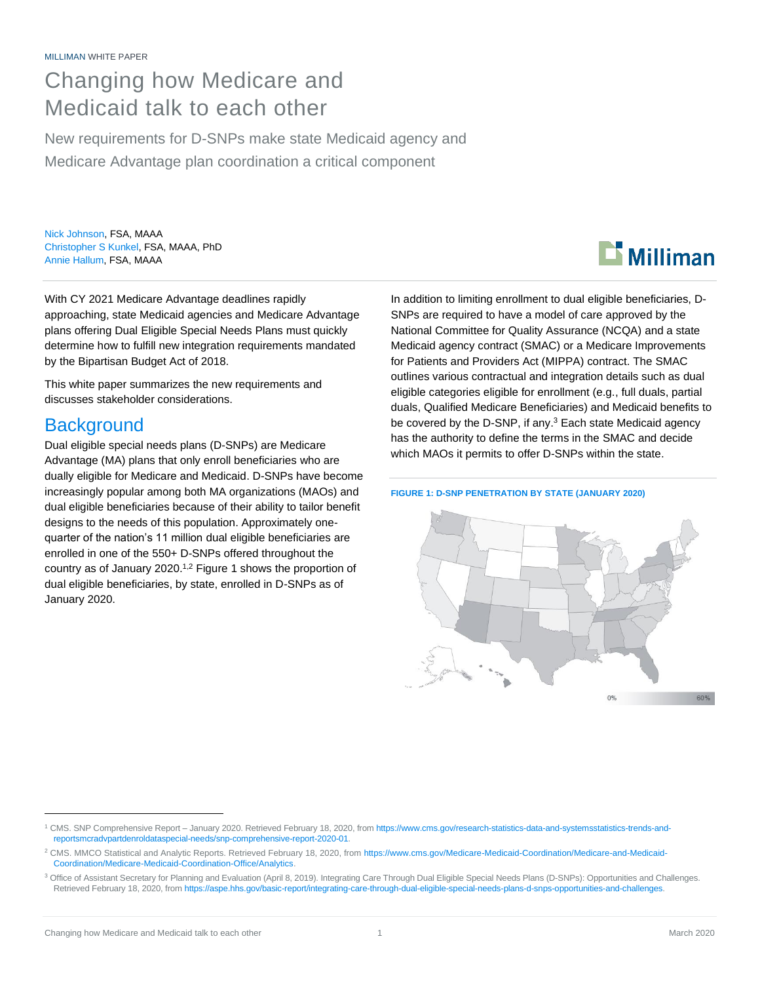## Changing how Medicare and Medicaid talk to each other

New requirements for D-SNPs make state Medicaid agency and Medicare Advantage plan coordination a critical component

Nick Johnson, FSA, MAAA Christopher S Kunkel, FSA, MAAA, PhD Annie Hallum, FSA, MAAA

With CY 2021 Medicare Advantage deadlines rapidly approaching, state Medicaid agencies and Medicare Advantage plans offering Dual Eligible Special Needs Plans must quickly determine how to fulfill new integration requirements mandated by the Bipartisan Budget Act of 2018.

This white paper summarizes the new requirements and discusses stakeholder considerations.

## **Background**

Dual eligible special needs plans (D-SNPs) are Medicare Advantage (MA) plans that only enroll beneficiaries who are dually eligible for Medicare and Medicaid. D-SNPs have become increasingly popular among both MA organizations (MAOs) and dual eligible beneficiaries because of their ability to tailor benefit designs to the needs of this population. Approximately onequarter of the nation's 11 million dual eligible beneficiaries are enrolled in one of the 550+ D-SNPs offered throughout the country as of January 2020. 1,2 Figure 1 shows the proportion of dual eligible beneficiaries, by state, enrolled in D-SNPs as of January 2020.

**Li** Milliman

In addition to limiting enrollment to dual eligible beneficiaries, D-SNPs are required to have a model of care approved by the National Committee for Quality Assurance (NCQA) and a state Medicaid agency contract (SMAC) or a Medicare Improvements for Patients and Providers Act (MIPPA) contract. The SMAC outlines various contractual and integration details such as dual eligible categories eligible for enrollment (e.g., full duals, partial duals, Qualified Medicare Beneficiaries) and Medicaid benefits to be covered by the D-SNP, if any.<sup>3</sup> Each state Medicaid agency has the authority to define the terms in the SMAC and decide which MAOs it permits to offer D-SNPs within the state.

#### **FIGURE 1: D-SNP PENETRATION BY STATE (JANUARY 2020)**



<sup>1</sup> CMS. SNP Comprehensive Report – January 2020. Retrieved February 18, 2020, fro[m https://www.cms.gov/research-statistics-data-and-systemsstatistics-trends-and](https://www.cms.gov/research-statistics-data-and-systemsstatistics-trends-and-reportsmcradvpartdenroldataspecial-needs/snp-comprehensive-report-2020-01)[reportsmcradvpartdenroldataspecial-needs/snp-comprehensive-report-2020-01.](https://www.cms.gov/research-statistics-data-and-systemsstatistics-trends-and-reportsmcradvpartdenroldataspecial-needs/snp-comprehensive-report-2020-01)

<sup>&</sup>lt;sup>2</sup> CMS. MMCO Statistical and Analytic Reports. Retrieved February 18, 2020, fro[m https://www.cms.gov/Medicare-Medicaid-Coordination/Medicare-and-Medicaid-](https://www.cms.gov/Medicare-Medicaid-Coordination/Medicare-and-Medicaid-Coordination/Medicare-Medicaid-Coordination-Office/Analytics)[Coordination/Medicare-Medicaid-Coordination-Office/Analytics.](https://www.cms.gov/Medicare-Medicaid-Coordination/Medicare-and-Medicaid-Coordination/Medicare-Medicaid-Coordination-Office/Analytics)

<sup>&</sup>lt;sup>3</sup> Office of Assistant Secretary for Planning and Evaluation (April 8, 2019). Integrating Care Through Dual Eligible Special Needs Plans (D-SNPs): Opportunities and Challenges. Retrieved February 18, 2020, fro[m https://aspe.hhs.gov/basic-report/integrating-care-through-dual-eligible-special-needs-plans-d-snps-opportunities-and-challenges.](https://aspe.hhs.gov/basic-report/integrating-care-through-dual-eligible-special-needs-plans-d-snps-opportunities-and-challenges)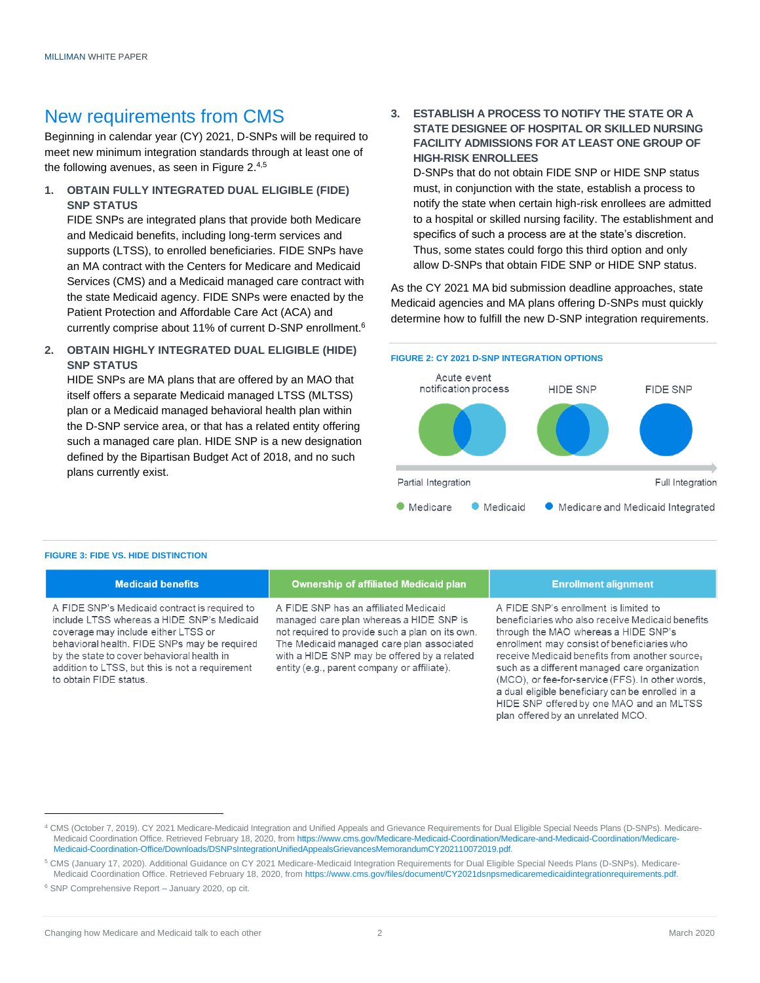## New requirements from CMS

Beginning in calendar year (CY) 2021, D-SNPs will be required to meet new minimum integration standards through at least one of the following avenues, as seen in Figure 2.<sup>4,5</sup>

**1. OBTAIN FULLY INTEGRATED DUAL ELIGIBLE (FIDE) SNP STATUS**

FIDE SNPs are integrated plans that provide both Medicare and Medicaid benefits, including long-term services and supports (LTSS), to enrolled beneficiaries. FIDE SNPs have an MA contract with the Centers for Medicare and Medicaid Services (CMS) and a Medicaid managed care contract with the state Medicaid agency. FIDE SNPs were enacted by the Patient Protection and Affordable Care Act (ACA) and currently comprise about 11% of current D-SNP enrollment.<sup>6</sup>

**2. OBTAIN HIGHLY INTEGRATED DUAL ELIGIBLE (HIDE) SNP STATUS**

HIDE SNPs are MA plans that are offered by an MAO that itself offers a separate Medicaid managed LTSS (MLTSS) plan or a Medicaid managed behavioral health plan within the D-SNP service area, or that has a related entity offering such a managed care plan. HIDE SNP is a new designation defined by the Bipartisan Budget Act of 2018, and no such plans currently exist.

**3. ESTABLISH A PROCESS TO NOTIFY THE STATE OR A STATE DESIGNEE OF HOSPITAL OR SKILLED NURSING FACILITY ADMISSIONS FOR AT LEAST ONE GROUP OF HIGH-RISK ENROLLEES**

D-SNPs that do not obtain FIDE SNP or HIDE SNP status must, in conjunction with the state, establish a process to notify the state when certain high-risk enrollees are admitted to a hospital or skilled nursing facility. The establishment and specifics of such a process are at the state's discretion. Thus, some states could forgo this third option and only allow D-SNPs that obtain FIDE SNP or HIDE SNP status.

As the CY 2021 MA bid submission deadline approaches, state Medicaid agencies and MA plans offering D-SNPs must quickly determine how to fulfill the new D-SNP integration requirements.



#### **FIGURE 3: FIDE VS. HIDE DISTINCTION**

#### **Medicaid benefits**

A FIDE SNP's Medicaid contract is required to include LTSS whereas a HIDE SNP's Medicaid coverage may include either LTSS or behavioral health. FIDE SNPs may be required by the state to cover behavioral health in addition to LTSS, but this is not a requirement to obtain FIDE status.

#### **Ownership of affiliated Medicaid plan**

A FIDE SNP has an affiliated Medicaid managed care plan whereas a HIDE SNP is not required to provide such a plan on its own. The Medicaid managed care plan associated with a HIDE SNP may be offered by a related entity (e.g., parent company or affiliate).

#### **Enrollment alignment**

A FIDE SNP's enrollment is limited to beneficiaries who also receive Medicaid benefits through the MAO whereas a HIDE SNP's enrollment may consist of beneficiaries who receive Medicaid benefits from another source, such as a different managed care organization (MCO), or fee-for-service (FFS). In other words, a dual eligible beneficiary can be enrolled in a HIDE SNP offered by one MAO and an MLTSS plan offered by an unrelated MCO.

<sup>4</sup> CMS (October 7, 2019). CY 2021 Medicare-Medicaid Integration and Unified Appeals and Grievance Requirements for Dual Eligible Special Needs Plans (D-SNPs). Medicare-Medicaid Coordination Office. Retrieved February 18, 2020, fro[m https://www.cms.gov/Medicare-Medicaid-Coordination/Medicare-and-Medicaid-Coordination/Medicare-](https://www.cms.gov/Medicare-Medicaid-Coordination/Medicare-and-Medicaid-Coordination/Medicare-Medicaid-Coordination-Office/Downloads/DSNPsIntegrationUnifiedAppealsGrievancesMemorandumCY202110072019.pdf)[Medicaid-Coordination-Office/Downloads/DSNPsIntegrationUnifiedAppealsGrievancesMemorandumCY202110072019.pdf.](https://www.cms.gov/Medicare-Medicaid-Coordination/Medicare-and-Medicaid-Coordination/Medicare-Medicaid-Coordination-Office/Downloads/DSNPsIntegrationUnifiedAppealsGrievancesMemorandumCY202110072019.pdf)

<sup>5</sup> CMS (January 17, 2020). Additional Guidance on CY 2021 Medicare-Medicaid Integration Requirements for Dual Eligible Special Needs Plans (D-SNPs). Medicare-Medicaid Coordination Office. Retrieved February 18, 2020, from [https://www.cms.gov/files/document/CY2021dsnpsmedicaremedicaidintegrationrequirements.pdf.](https://www.cms.gov/files/document/CY2021dsnpsmedicaremedicaidintegrationrequirements.pdf)

<sup>6</sup> SNP Comprehensive Report – January 2020, op cit.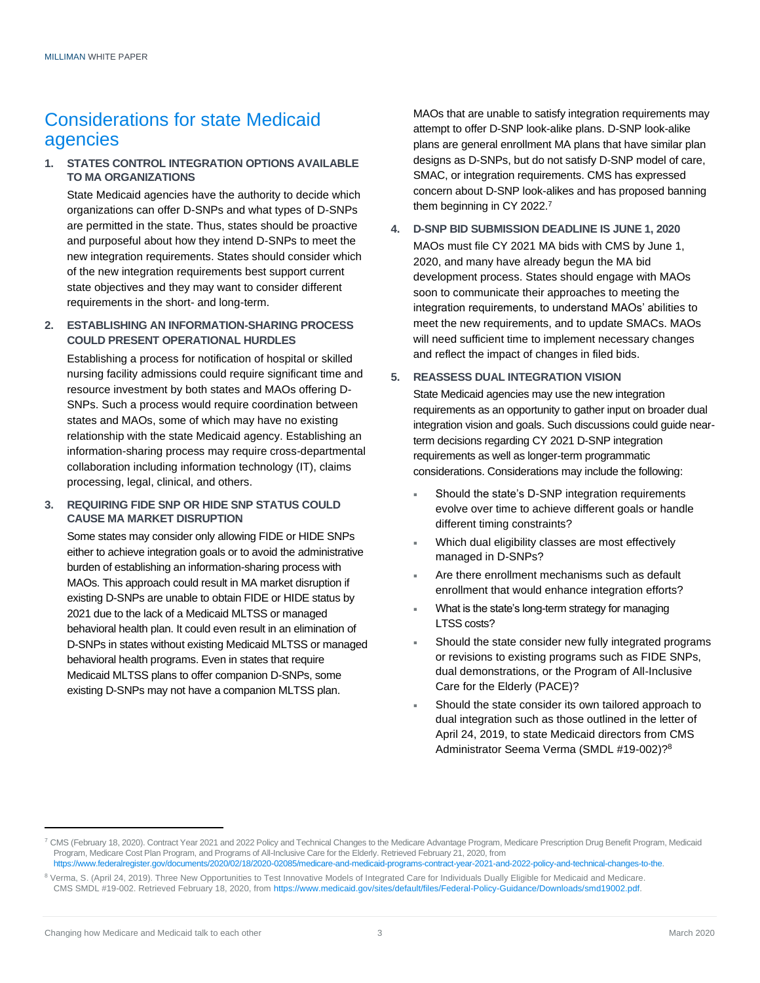## Considerations for state Medicaid agencies

#### **1. STATES CONTROL INTEGRATION OPTIONS AVAILABLE TO MA ORGANIZATIONS**

State Medicaid agencies have the authority to decide which organizations can offer D-SNPs and what types of D-SNPs are permitted in the state. Thus, states should be proactive and purposeful about how they intend D-SNPs to meet the new integration requirements. States should consider which of the new integration requirements best support current state objectives and they may want to consider different requirements in the short- and long-term.

#### **2. ESTABLISHING AN INFORMATION-SHARING PROCESS COULD PRESENT OPERATIONAL HURDLES**

Establishing a process for notification of hospital or skilled nursing facility admissions could require significant time and resource investment by both states and MAOs offering D-SNPs. Such a process would require coordination between states and MAOs, some of which may have no existing relationship with the state Medicaid agency. Establishing an information-sharing process may require cross-departmental collaboration including information technology (IT), claims processing, legal, clinical, and others.

#### **3. REQUIRING FIDE SNP OR HIDE SNP STATUS COULD CAUSE MA MARKET DISRUPTION**

Some states may consider only allowing FIDE or HIDE SNPs either to achieve integration goals or to avoid the administrative burden of establishing an information-sharing process with MAOs. This approach could result in MA market disruption if existing D-SNPs are unable to obtain FIDE or HIDE status by 2021 due to the lack of a Medicaid MLTSS or managed behavioral health plan. It could even result in an elimination of D-SNPs in states without existing Medicaid MLTSS or managed behavioral health programs. Even in states that require Medicaid MLTSS plans to offer companion D-SNPs, some existing D-SNPs may not have a companion MLTSS plan.

MAOs that are unable to satisfy integration requirements may attempt to offer D-SNP look-alike plans. D-SNP look-alike plans are general enrollment MA plans that have similar plan designs as D-SNPs, but do not satisfy D-SNP model of care, SMAC, or integration requirements. CMS has expressed concern about D-SNP look-alikes and has proposed banning them beginning in CY 2022.<sup>7</sup>

**4. D-SNP BID SUBMISSION DEADLINE IS JUNE 1, 2020** MAOs must file CY 2021 MA bids with CMS by June 1, 2020, and many have already begun the MA bid development process. States should engage with MAOs soon to communicate their approaches to meeting the integration requirements, to understand MAOs' abilities to meet the new requirements, and to update SMACs. MAOs will need sufficient time to implement necessary changes and reflect the impact of changes in filed bids.

#### **5. REASSESS DUAL INTEGRATION VISION**

State Medicaid agencies may use the new integration requirements as an opportunity to gather input on broader dual integration vision and goals. Such discussions could guide nearterm decisions regarding CY 2021 D-SNP integration requirements as well as longer-term programmatic considerations. Considerations may include the following:

- Should the state's D-SNP integration requirements evolve over time to achieve different goals or handle different timing constraints?
- Which dual eligibility classes are most effectively managed in D-SNPs?
- Are there enrollment mechanisms such as default enrollment that would enhance integration efforts?
- What is the state's long-term strategy for managing LTSS costs?
- Should the state consider new fully integrated programs or revisions to existing programs such as FIDE SNPs, dual demonstrations, or the Program of All-Inclusive Care for the Elderly (PACE)?
- Should the state consider its own tailored approach to dual integration such as those outlined in the letter of April 24, 2019, to state Medicaid directors from CMS Administrator Seema Verma (SMDL #19-002)? 8

<sup>7</sup> CMS (February 18, 2020). Contract Year 2021 and 2022 Policy and Technical Changes to the Medicare Advantage Program, Medicare Prescription Drug Benefit Program, Medicaid Program, Medicare Cost Plan Program, and Programs of All-Inclusive Care for the Elderly. Retrieved February 21, 2020, from

[https://www.federalregister.gov/documents/2020/02/18/2020-02085/medicare-and-medicaid-programs-contract-year-2021-and-2022-policy-and-technical-changes-to-the.](https://www.federalregister.gov/documents/2020/02/18/2020-02085/medicare-and-medicaid-programs-contract-year-2021-and-2022-policy-and-technical-changes-to-the) <sup>8</sup> Verma, S. (April 24, 2019). Three New Opportunities to Test Innovative Models of Integrated Care for Individuals Dually Eligible for Medicaid and Medicare. CMS SMDL #19-002. Retrieved February 18, 2020, fro[m https://www.medicaid.gov/sites/default/files/Federal-Policy-Guidance/Downloads/smd19002.pdf.](https://www.medicaid.gov/sites/default/files/Federal-Policy-Guidance/Downloads/smd19002.pdf)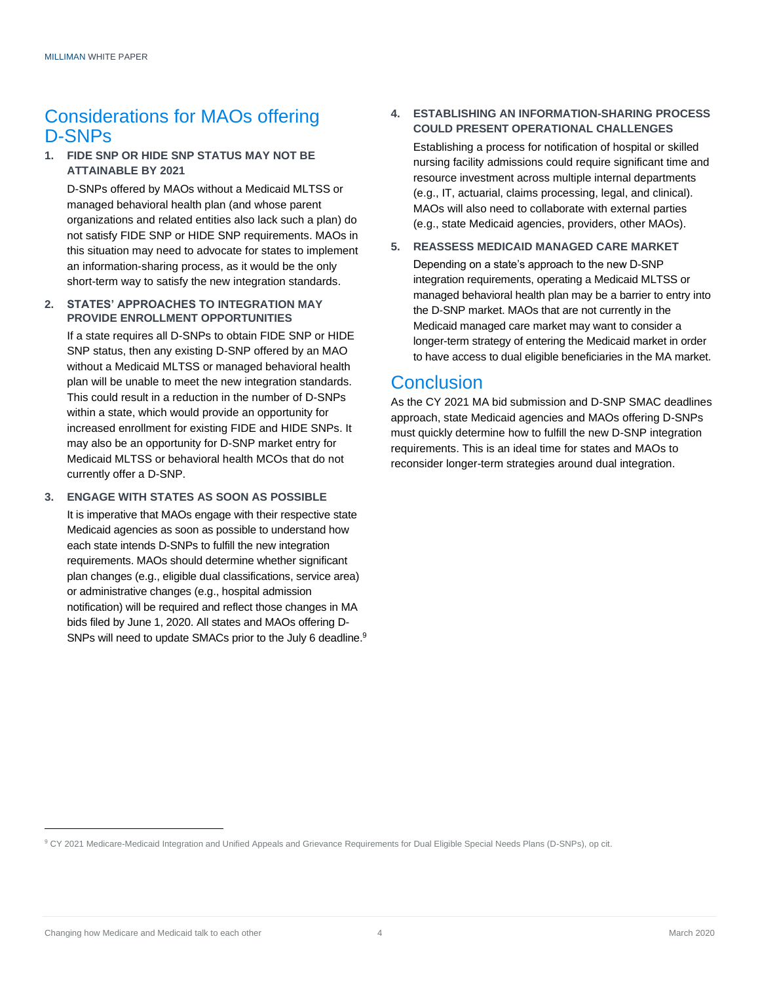## Considerations for MAOs offering D-SNPs

#### **1. FIDE SNP OR HIDE SNP STATUS MAY NOT BE ATTAINABLE BY 2021**

D-SNPs offered by MAOs without a Medicaid MLTSS or managed behavioral health plan (and whose parent organizations and related entities also lack such a plan) do not satisfy FIDE SNP or HIDE SNP requirements. MAOs in this situation may need to advocate for states to implement an information-sharing process, as it would be the only short-term way to satisfy the new integration standards.

#### **2. STATES' APPROACHES TO INTEGRATION MAY PROVIDE ENROLLMENT OPPORTUNITIES**

If a state requires all D-SNPs to obtain FIDE SNP or HIDE SNP status, then any existing D-SNP offered by an MAO without a Medicaid MLTSS or managed behavioral health plan will be unable to meet the new integration standards. This could result in a reduction in the number of D-SNPs within a state, which would provide an opportunity for increased enrollment for existing FIDE and HIDE SNPs. It may also be an opportunity for D-SNP market entry for Medicaid MLTSS or behavioral health MCOs that do not currently offer a D-SNP.

#### **3. ENGAGE WITH STATES AS SOON AS POSSIBLE**

It is imperative that MAOs engage with their respective state Medicaid agencies as soon as possible to understand how each state intends D-SNPs to fulfill the new integration requirements. MAOs should determine whether significant plan changes (e.g., eligible dual classifications, service area) or administrative changes (e.g., hospital admission notification) will be required and reflect those changes in MA bids filed by June 1, 2020. All states and MAOs offering D-SNPs will need to update SMACs prior to the July 6 deadline.<sup>9</sup>

#### **4. ESTABLISHING AN INFORMATION-SHARING PROCESS COULD PRESENT OPERATIONAL CHALLENGES**

Establishing a process for notification of hospital or skilled nursing facility admissions could require significant time and resource investment across multiple internal departments (e.g., IT, actuarial, claims processing, legal, and clinical). MAOs will also need to collaborate with external parties (e.g., state Medicaid agencies, providers, other MAOs).

#### **5. REASSESS MEDICAID MANAGED CARE MARKET**

Depending on a state's approach to the new D-SNP integration requirements, operating a Medicaid MLTSS or managed behavioral health plan may be a barrier to entry into the D-SNP market. MAOs that are not currently in the Medicaid managed care market may want to consider a longer-term strategy of entering the Medicaid market in order to have access to dual eligible beneficiaries in the MA market.

## **Conclusion**

As the CY 2021 MA bid submission and D-SNP SMAC deadlines approach, state Medicaid agencies and MAOs offering D-SNPs must quickly determine how to fulfill the new D-SNP integration requirements. This is an ideal time for states and MAOs to reconsider longer-term strategies around dual integration.

<sup>9</sup> CY 2021 Medicare-Medicaid Integration and Unified Appeals and Grievance Requirements for Dual Eligible Special Needs Plans (D-SNPs), op cit.